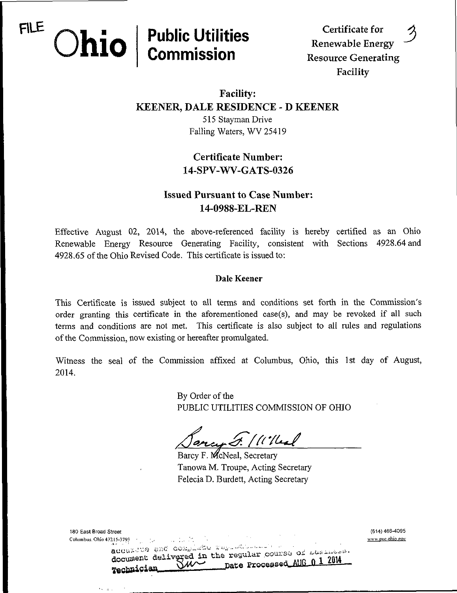# $FILE \cap L = | Public Utility \text{ }$

Renewable Energy **COMMISSION** Resource Generating Facility

## Facility: KEENER, DALE RESIDENCE - D KEENER

515 Stayman Drive Falling Waters, WV 25419

## Certificate Number: 14-SPV-WV-GATS-0326

## Issued Pursuant to Case Number: 14-0988-EL-REN

Effective August 02, 2014, the above-referenced facility is hereby certified as an Ohio Renewable Energy Resource Generating Facility, consistent with Sections 4928.64 and 4928,65 of the Ohio Revised Code. This certificate is issued to:

#### Dale Keener

This Certificate is issued subject to all terms and conditions set forth in the Commission's order granting this certificate in the aforementioned case(s), and may be revoked if all such terms and conditions are not met. This certificate is also subject to all rules and regulations of the Commission, now existing or hereafter promulgated.

Witness the seal of the Commission affixed at Columbus, Ohio, this 1st day of August, 2014.

> By Order of the PUBLIC UTILITIES COMMISSION OF OHIO

 $\frac{1}{2}$ / (''/leal

Barcy F. McNeal, Secretary Tanowa M. Troupe, Acting Secretary Felecia D. Burdett, Acting Secretary

| 180 East Broad Street                                                                                                                                                                                                                                                                                                                                                                                                                          | (614) 466-4095   |
|------------------------------------------------------------------------------------------------------------------------------------------------------------------------------------------------------------------------------------------------------------------------------------------------------------------------------------------------------------------------------------------------------------------------------------------------|------------------|
| Columbus, Ohio 43215-3793 $\frac{1}{2}$ and $\frac{1}{2}$ and $\frac{1}{2}$ and $\frac{1}{2}$ and $\frac{1}{2}$ and $\frac{1}{2}$ and $\frac{1}{2}$ and $\frac{1}{2}$ and $\frac{1}{2}$ and $\frac{1}{2}$ and $\frac{1}{2}$ and $\frac{1}{2}$ and $\frac{1}{2}$ and $\frac{1}{2}$ and<br>adouzine and complishe representative of the<br>document delivered in the regular course of Lleslates<br>Date Processed AUG 0 1 2014<br>Technician Ju | www.puc.ohio.gov |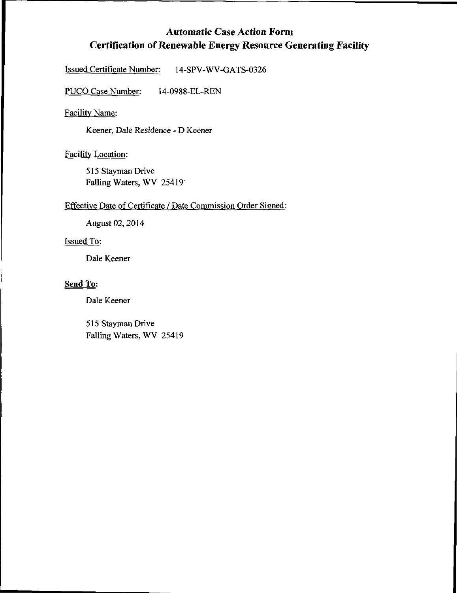## Automatic Case Action Form Certification of Renewable Energy Resource Generating Facility

Issued Certificate Number: 14-SPV-WV-GATS-0326

PUCO Case Number: 14-0988-EL-REN

Facility Name:

Keener, Dale Residence - D Keener

Facility Location:

515 Stayman Drive Falling Waters, WV 25419'

#### Effective Date of Certificate / Date Commission Order Signed:

August 02,2014

#### Issued To:

Dale Keener

#### Send To:

Dale Keener

515 Stayman Drive Falling Waters, WV 25419